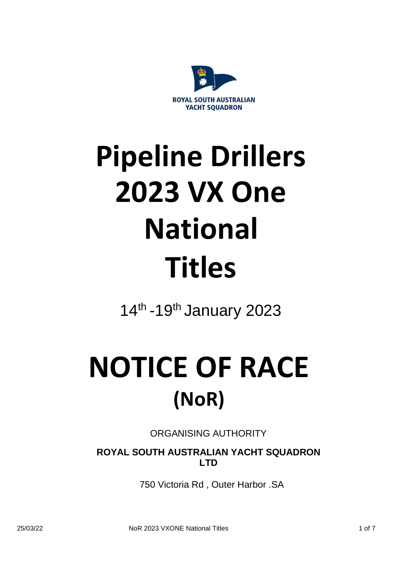

# **Pipeline Drillers 2023 VX One National Titles**

14<sup>th</sup> -19<sup>th</sup> January 2023

## **NOTICE OF RACE (NoR)**

ORGANISING AUTHORITY

**ROYAL SOUTH AUSTRALIAN YACHT SQUADRON LTD**

750 Victoria Rd , Outer Harbor .SA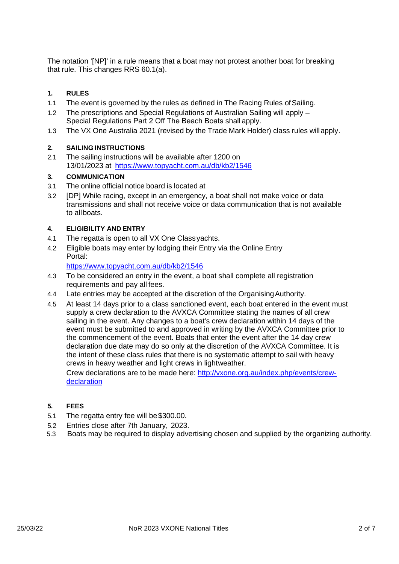The notation '[NP]' in a rule means that a boat may not protest another boat for breaking that rule. This changes RRS 60.1(a).

#### **1. RULES**

- 1.1 The event is governed by the rules as defined in The Racing Rules ofSailing.
- 1.2 The prescriptions and Special Regulations of Australian Sailing will apply Special Regulations Part 2 Off The Beach Boats shall apply.
- 1.3 The VX One Australia 2021 (revised by the Trade Mark Holder) class rules willapply.

#### **2. SAILING INSTRUCTIONS**

2.1 The sailing instructions will be available after 1200 on 13/01/2023 at <https://www.topyacht.com.au/db/kb2/1546>

#### **3. COMMUNICATION**

- 3.1 The online official notice board is located at
- 3.2 [DP] While racing, except in an emergency, a boat shall not make voice or data transmissions and shall not receive voice or data communication that is not available to allboats.

#### **4. ELIGIBILITY AND ENTRY**

- 4.1 The regatta is open to all VX One Class yachts.
- 4.2 Eligible boats may enter by lodging their Entry via the Online Entry Portal:

<https://www.topyacht.com.au/db/kb2/1546>

- 4.3 To be considered an entry in the event, a boat shall complete all registration requirements and pay all fees.
- 4.4 Late entries may be accepted at the discretion of the OrganisingAuthority.
- 4.5 At least 14 days prior to a class sanctioned event, each boat entered in the event must supply a crew declaration to the AVXCA Committee stating the names of all crew sailing in the event. Any changes to a boat's crew declaration within 14 days of the event must be submitted to and approved in writing by the AVXCA Committee prior to the commencement of the event. Boats that enter the event after the 14 day crew declaration due date may do so only at the discretion of the AVXCA Committee. It is the intent of these class rules that there is no systematic attempt to sail with heavy crews in heavy weather and light crews in lightweather.

Crew declarations are to be made here: [http://vxone.org.au/index.php/events/crew](http://vxone.org.au/index.php/events/crew-declaration)[declaration](http://vxone.org.au/index.php/events/crew-declaration)

#### **5. FEES**

- 5.1 The regatta entry fee will be\$300.00.
- 5.2 Entries close after 7th January, 2023.
- 5.3 Boats may be required to display advertising chosen and supplied by the organizing authority.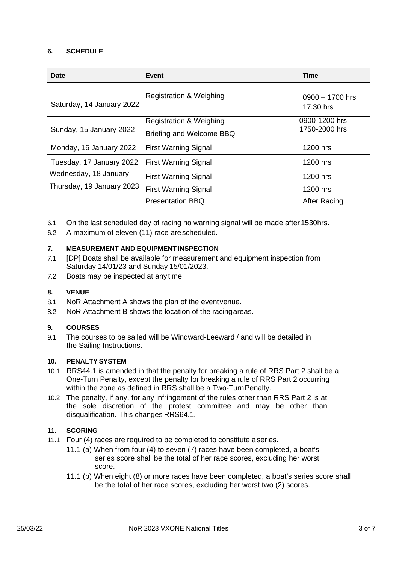#### **6. SCHEDULE**

| <b>Date</b>               | Event                              | <b>Time</b>                    |
|---------------------------|------------------------------------|--------------------------------|
| Saturday, 14 January 2022 | <b>Registration &amp; Weighing</b> | $0900 - 1700$ hrs<br>17.30 hrs |
| Sunday, 15 January 2022   | <b>Registration &amp; Weighing</b> | 0900-1200 hrs                  |
|                           | Briefing and Welcome BBQ           | 1750-2000 hrs                  |
| Monday, 16 January 2022   | <b>First Warning Signal</b>        | 1200 hrs                       |
| Tuesday, 17 January 2022  | <b>First Warning Signal</b>        | 1200 hrs                       |
| Wednesday, 18 January     | <b>First Warning Signal</b>        | 1200 hrs                       |
| Thursday, 19 January 2023 | <b>First Warning Signal</b>        | 1200 hrs                       |
|                           | <b>Presentation BBQ</b>            | <b>After Racing</b>            |

- 6.1 On the last scheduled day of racing no warning signal will be made after 1530hrs.
- 6.2 A maximum of eleven (11) race arescheduled.

#### **7. MEASUREMENT AND EQUIPMENT INSPECTION**

- 7.1 [DP] Boats shall be available for measurement and equipment inspection from Saturday 14/01/23 and Sunday 15/01/2023.
- 7.2 Boats may be inspected at any time.

#### **8. VENUE**

- 8.1 NoR Attachment A shows the plan of the eventvenue.
- 8.2 NoR Attachment B shows the location of the racingareas.

#### **9. COURSES**

9.1 The courses to be sailed will be Windward-Leeward / and will be detailed in the Sailing Instructions.

#### **10. PENALTY SYSTEM**

- 10.1 RRS44.1 is amended in that the penalty for breaking a rule of RRS Part 2 shall be a One-Turn Penalty, except the penalty for breaking a rule of RRS Part 2 occurring within the zone as defined in RRS shall be a Two-Turn Penalty.
- 10.2 The penalty, if any, for any infringement of the rules other than RRS Part 2 is at the sole discretion of the protest committee and may be other than disqualification. This changes RRS64.1.

#### **11. SCORING**

- 11.1 Four (4) races are required to be completed to constitute aseries.
	- 11.1 (a) When from four (4) to seven (7) races have been completed, a boat's series score shall be the total of her race scores, excluding her worst score.
	- 11.1 (b) When eight (8) or more races have been completed, a boat's series score shall be the total of her race scores, excluding her worst two (2) scores.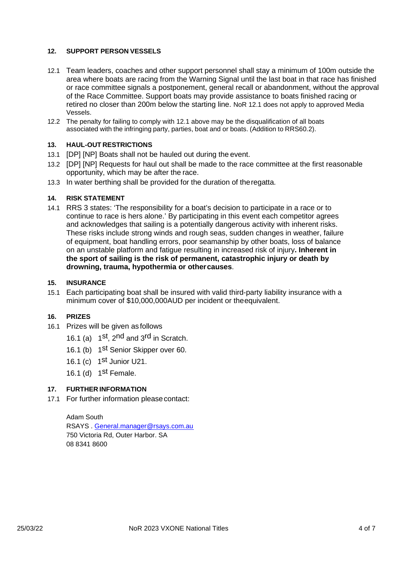#### **12. SUPPORT PERSON VESSELS**

- 12.1 Team leaders, coaches and other support personnel shall stay a minimum of 100m outside the area where boats are racing from the Warning Signal until the last boat in that race has finished or race committee signals a postponement, general recall or abandonment, without the approval of the Race Committee. Support boats may provide assistance to boats finished racing or retired no closer than 200m below the starting line. NoR 12.1 does not apply to approved Media Vessels.
- 12.2 The penalty for failing to comply with 12.1 above may be the disqualification of all boats associated with the infringing party, parties, boat and or boats. (Addition to RRS60.2).

#### **13. HAUL-OUT RESTRICTIONS**

- 13.1 [DP] [NP] Boats shall not be hauled out during the event.
- 13.2 [DP] [NP] Requests for haul out shall be made to the race committee at the first reasonable opportunity, which may be after the race.
- 13.3 In water berthing shall be provided for the duration of theregatta.

#### **14. RISK STATEMENT**

14.1 RRS 3 states: 'The responsibility for a boat's decision to participate in a race or to continue to race is hers alone.' By participating in this event each competitor agrees and acknowledges that sailing is a potentially dangerous activity with inherent risks. These risks include strong winds and rough seas, sudden changes in weather, failure of equipment, boat handling errors, poor seamanship by other boats, loss of balance on an unstable platform and fatigue resulting in increased risk of injury**. Inherent in the sport of sailing is the risk of permanent, catastrophic injury or death by drowning, trauma, hypothermia or othercauses**.

#### **15. INSURANCE**

15.1 Each participating boat shall be insured with valid third-party liability insurance with a minimum cover of \$10,000,000AUD per incident or theequivalent.

#### **16. PRIZES**

- 16.1 Prizes will be given as follows
	- 16.1 (a)  $1^{st}$ , 2<sup>nd</sup> and 3<sup>rd</sup> in Scratch.
	- 16.1 (b) 1<sup>st</sup> Senior Skipper over 60.
	- 16.1 (c) 1<sup>st</sup> Junior U21.
	- 16.1 (d) 1<sup>st</sup> Female.

#### **17. FURTHER INFORMATION**

17.1 For further information pleasecontact:

Adam South RSAYS . [General.manager@rsays.com.au](mailto:General.manager@rsays.com.au) 750 Victoria Rd, Outer Harbor. SA 08 8341 8600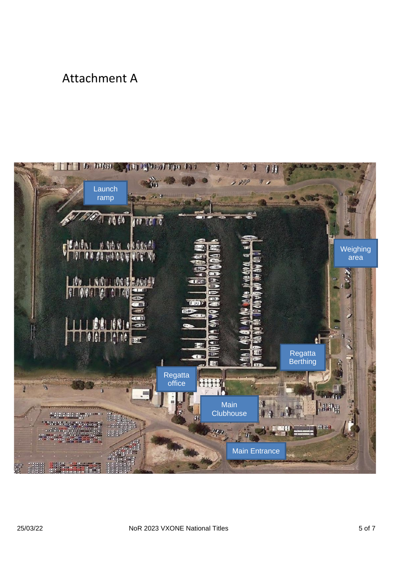### Attachment A

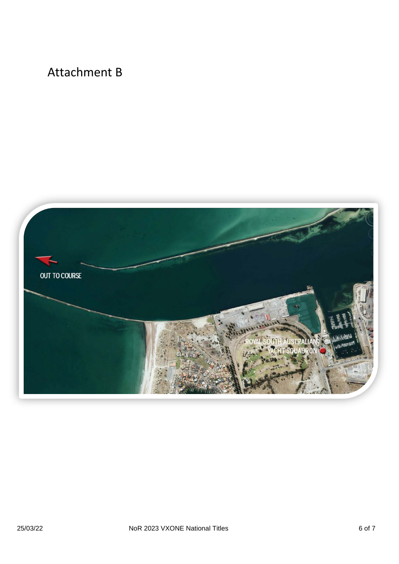## Attachment B